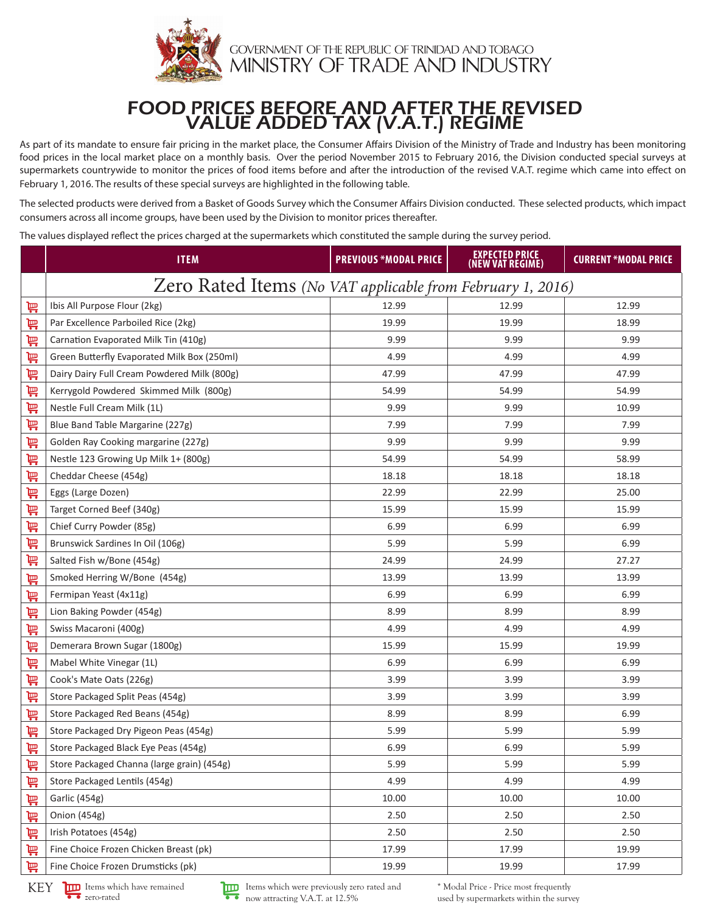

## FOOD PRICES BEFORE AND AFTER THE REVISED VALUE ADDED TAX (V.A.T.) REGIME

As part of its mandate to ensure fair pricing in the market place, the Consumer Affairs Division of the Ministry of Trade and Industry has been monitoring food prices in the local market place on a monthly basis. Over the period November 2015 to February 2016, the Division conducted special surveys at supermarkets countrywide to monitor the prices of food items before and after the introduction of the revised V.A.T. regime which came into effect on February 1, 2016. The results of these special surveys are highlighted in the following table.

The selected products were derived from a Basket of Goods Survey which the Consumer Affairs Division conducted. These selected products, which impact consumers across all income groups, have been used by the Division to monitor prices thereafter.

The values displayed reflect the prices charged at the supermarkets which constituted the sample during the survey period.

|                 | <b>ITEM</b>                                                | <b>PREVIOUS *MODAL PRICE</b> | EXPECTED PRICE<br>(NEW VAT REGIME) | <b>CURRENT *MODAL PRICE</b> |  |  |
|-----------------|------------------------------------------------------------|------------------------------|------------------------------------|-----------------------------|--|--|
|                 | Zero Rated Items (No VAT applicable from February 1, 2016) |                              |                                    |                             |  |  |
| 巪               | Ibis All Purpose Flour (2kg)                               | 12.99                        | 12.99                              | 12.99                       |  |  |
| 旨               | Par Excellence Parboiled Rice (2kg)                        | 19.99                        | 19.99                              | 18.99                       |  |  |
| 旨               | Carnation Evaporated Milk Tin (410g)                       | 9.99                         | 9.99                               | 9.99                        |  |  |
| 异               | Green Butterfly Evaporated Milk Box (250ml)                | 4.99                         | 4.99                               | 4.99                        |  |  |
| 旨               | Dairy Dairy Full Cream Powdered Milk (800g)                | 47.99                        | 47.99                              | 47.99                       |  |  |
| پتر             | Kerrygold Powdered Skimmed Milk (800g)                     | 54.99                        | 54.99                              | 54.99                       |  |  |
| ٣               | Nestle Full Cream Milk (1L)                                | 9.99                         | 9.99                               | 10.99                       |  |  |
| 旨               | Blue Band Table Margarine (227g)                           | 7.99                         | 7.99                               | 7.99                        |  |  |
| 旨               | Golden Ray Cooking margarine (227g)                        | 9.99                         | 9.99                               | 9.99                        |  |  |
| 旨               | Nestle 123 Growing Up Milk 1+ (800g)                       | 54.99                        | 54.99                              | 58.99                       |  |  |
| ٣               | Cheddar Cheese (454g)                                      | 18.18                        | 18.18                              | 18.18                       |  |  |
| 買               | Eggs (Large Dozen)                                         | 22.99                        | 22.99                              | 25.00                       |  |  |
| 异               | Target Corned Beef (340g)                                  | 15.99                        | 15.99                              | 15.99                       |  |  |
| 旨               | Chief Curry Powder (85g)                                   | 6.99                         | 6.99                               | 6.99                        |  |  |
| 岢               | Brunswick Sardines In Oil (106g)                           | 5.99                         | 5.99                               | 6.99                        |  |  |
| 旨               | Salted Fish w/Bone (454g)                                  | 24.99                        | 24.99                              | 27.27                       |  |  |
| ٣               | Smoked Herring W/Bone (454g)                               | 13.99                        | 13.99                              | 13.99                       |  |  |
| 巪               | Fermipan Yeast (4x11g)                                     | 6.99                         | 6.99                               | 6.99                        |  |  |
| 巪               | Lion Baking Powder (454g)                                  | 8.99                         | 8.99                               | 8.99                        |  |  |
| 旨               | Swiss Macaroni (400g)                                      | 4.99                         | 4.99                               | 4.99                        |  |  |
| 旨               | Demerara Brown Sugar (1800g)                               | 15.99                        | 15.99                              | 19.99                       |  |  |
| 旨               | Mabel White Vinegar (1L)                                   | 6.99                         | 6.99                               | 6.99                        |  |  |
| 异               | Cook's Mate Oats (226g)                                    | 3.99                         | 3.99                               | 3.99                        |  |  |
| 旨               | Store Packaged Split Peas (454g)                           | 3.99                         | 3.99                               | 3.99                        |  |  |
| 旨               | Store Packaged Red Beans (454g)                            | 8.99                         | 8.99                               | 6.99                        |  |  |
| 買               | Store Packaged Dry Pigeon Peas (454g)                      | 5.99                         | 5.99                               | 5.99                        |  |  |
| 异               | Store Packaged Black Eye Peas (454g)                       | 6.99                         | 6.99                               | 5.99                        |  |  |
| <b>Trm</b><br>₩ | Store Packaged Channa (large grain) (454g)                 | 5.99                         | 5.99                               | 5.99                        |  |  |
| 岢               | Store Packaged Lentils (454g)                              | 4.99                         | 4.99                               | 4.99                        |  |  |
| 导               | Garlic (454g)                                              | 10.00                        | 10.00                              | 10.00                       |  |  |
| 导               | Onion (454g)                                               | 2.50                         | 2.50                               | 2.50                        |  |  |
| 旨               | Irish Potatoes (454g)                                      | 2.50                         | 2.50                               | 2.50                        |  |  |
| 旨               | Fine Choice Frozen Chicken Breast (pk)                     | 17.99                        | 17.99                              | 19.99                       |  |  |
| 岢               | Fine Choice Frozen Drumsticks (pk)                         | 19.99                        | 19.99                              | 17.99                       |  |  |

KEY ILL Items which have remained **v**<sub>zero-rated</sub>



**ITE** Items which were previously zero rated and now attracting V.A.T. at 12.5%

\* Modal Price - Price most frequently used by supermarkets within the survey